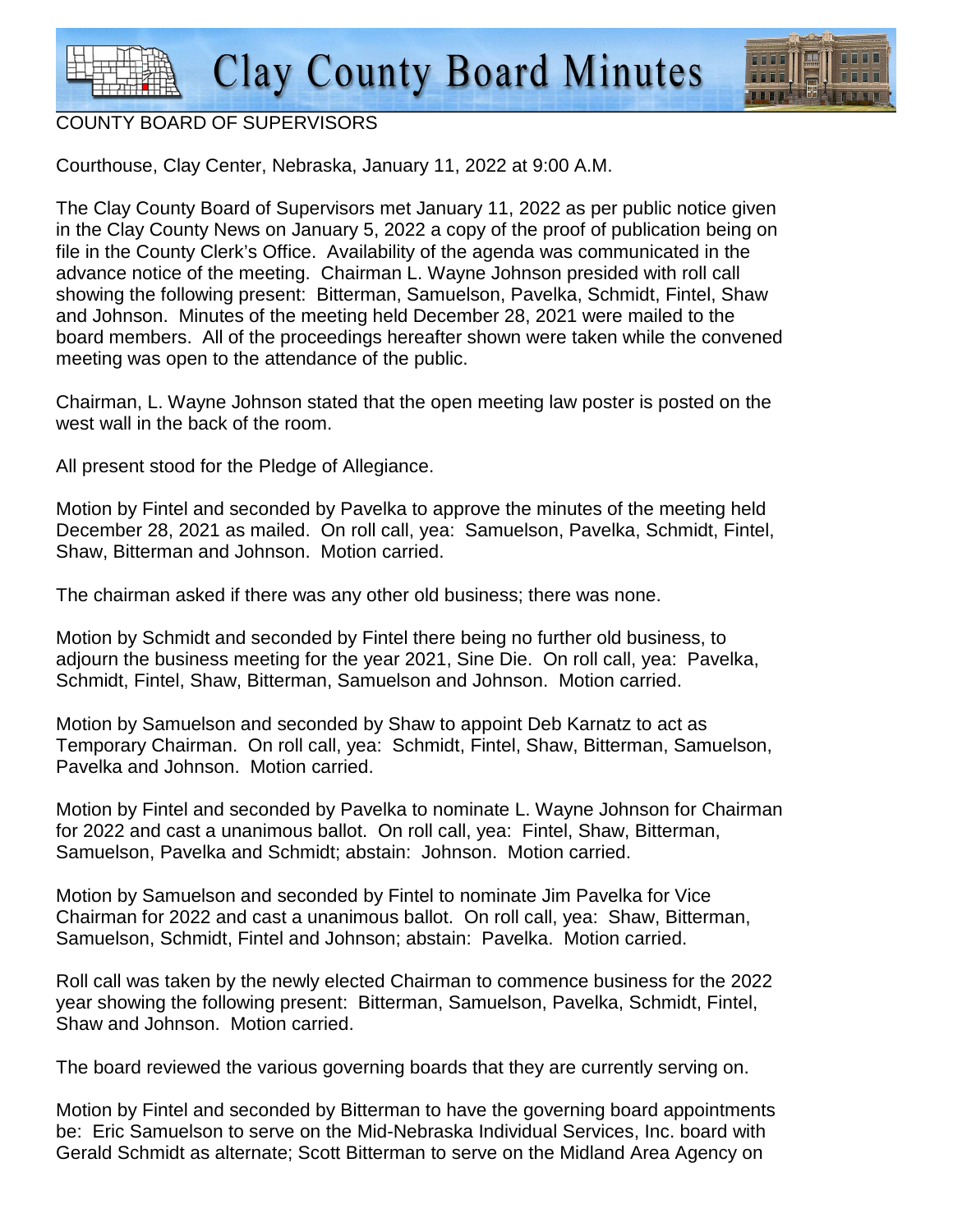

## COUNTY BOARD OF SUPERVISORS

Courthouse, Clay Center, Nebraska, January 11, 2022 at 9:00 A.M.

The Clay County Board of Supervisors met January 11, 2022 as per public notice given in the Clay County News on January 5, 2022 a copy of the proof of publication being on file in the County Clerk's Office. Availability of the agenda was communicated in the advance notice of the meeting. Chairman L. Wayne Johnson presided with roll call showing the following present: Bitterman, Samuelson, Pavelka, Schmidt, Fintel, Shaw and Johnson. Minutes of the meeting held December 28, 2021 were mailed to the board members. All of the proceedings hereafter shown were taken while the convened meeting was open to the attendance of the public.

Chairman, L. Wayne Johnson stated that the open meeting law poster is posted on the west wall in the back of the room.

All present stood for the Pledge of Allegiance.

Motion by Fintel and seconded by Pavelka to approve the minutes of the meeting held December 28, 2021 as mailed. On roll call, yea: Samuelson, Pavelka, Schmidt, Fintel, Shaw, Bitterman and Johnson. Motion carried.

The chairman asked if there was any other old business; there was none.

Motion by Schmidt and seconded by Fintel there being no further old business, to adjourn the business meeting for the year 2021, Sine Die. On roll call, yea: Pavelka, Schmidt, Fintel, Shaw, Bitterman, Samuelson and Johnson. Motion carried.

Motion by Samuelson and seconded by Shaw to appoint Deb Karnatz to act as Temporary Chairman. On roll call, yea: Schmidt, Fintel, Shaw, Bitterman, Samuelson, Pavelka and Johnson. Motion carried.

Motion by Fintel and seconded by Pavelka to nominate L. Wayne Johnson for Chairman for 2022 and cast a unanimous ballot. On roll call, yea: Fintel, Shaw, Bitterman, Samuelson, Pavelka and Schmidt; abstain: Johnson. Motion carried.

Motion by Samuelson and seconded by Fintel to nominate Jim Pavelka for Vice Chairman for 2022 and cast a unanimous ballot. On roll call, yea: Shaw, Bitterman, Samuelson, Schmidt, Fintel and Johnson; abstain: Pavelka. Motion carried.

Roll call was taken by the newly elected Chairman to commence business for the 2022 year showing the following present: Bitterman, Samuelson, Pavelka, Schmidt, Fintel, Shaw and Johnson. Motion carried.

The board reviewed the various governing boards that they are currently serving on.

Motion by Fintel and seconded by Bitterman to have the governing board appointments be: Eric Samuelson to serve on the Mid-Nebraska Individual Services, Inc. board with Gerald Schmidt as alternate; Scott Bitterman to serve on the Midland Area Agency on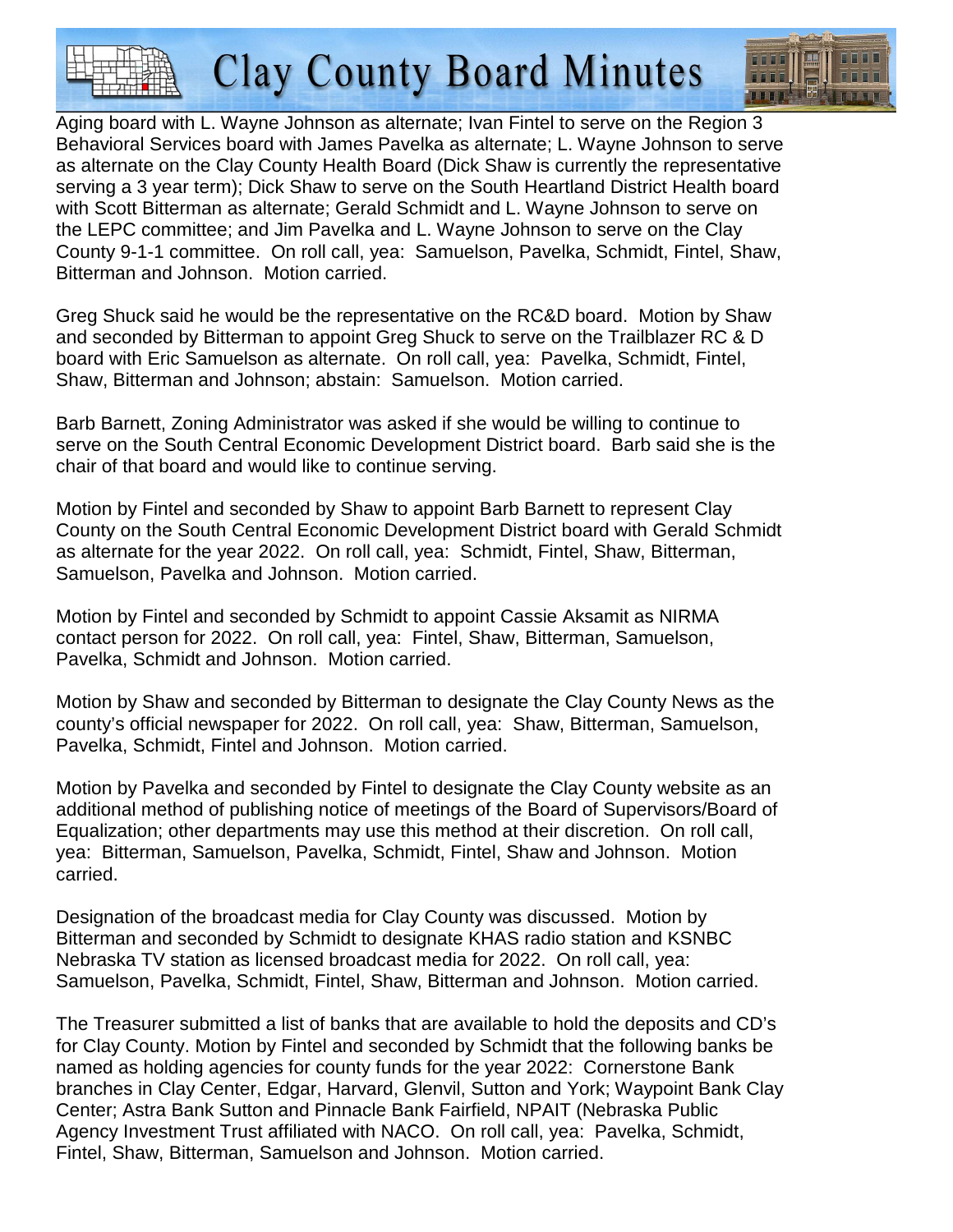**Clay County Board Minutes** 



Aging board with L. Wayne Johnson as alternate; Ivan Fintel to serve on the Region 3 Behavioral Services board with James Pavelka as alternate; L. Wayne Johnson to serve as alternate on the Clay County Health Board (Dick Shaw is currently the representative serving a 3 year term); Dick Shaw to serve on the South Heartland District Health board with Scott Bitterman as alternate; Gerald Schmidt and L. Wayne Johnson to serve on the LEPC committee; and Jim Pavelka and L. Wayne Johnson to serve on the Clay County 9-1-1 committee. On roll call, yea: Samuelson, Pavelka, Schmidt, Fintel, Shaw, Bitterman and Johnson. Motion carried.

Greg Shuck said he would be the representative on the RC&D board. Motion by Shaw and seconded by Bitterman to appoint Greg Shuck to serve on the Trailblazer RC & D board with Eric Samuelson as alternate. On roll call, yea: Pavelka, Schmidt, Fintel, Shaw, Bitterman and Johnson; abstain: Samuelson. Motion carried.

Barb Barnett, Zoning Administrator was asked if she would be willing to continue to serve on the South Central Economic Development District board. Barb said she is the chair of that board and would like to continue serving.

Motion by Fintel and seconded by Shaw to appoint Barb Barnett to represent Clay County on the South Central Economic Development District board with Gerald Schmidt as alternate for the year 2022. On roll call, yea: Schmidt, Fintel, Shaw, Bitterman, Samuelson, Pavelka and Johnson. Motion carried.

Motion by Fintel and seconded by Schmidt to appoint Cassie Aksamit as NIRMA contact person for 2022. On roll call, yea: Fintel, Shaw, Bitterman, Samuelson, Pavelka, Schmidt and Johnson. Motion carried.

Motion by Shaw and seconded by Bitterman to designate the Clay County News as the county's official newspaper for 2022. On roll call, yea: Shaw, Bitterman, Samuelson, Pavelka, Schmidt, Fintel and Johnson. Motion carried.

Motion by Pavelka and seconded by Fintel to designate the Clay County website as an additional method of publishing notice of meetings of the Board of Supervisors/Board of Equalization; other departments may use this method at their discretion. On roll call, yea: Bitterman, Samuelson, Pavelka, Schmidt, Fintel, Shaw and Johnson. Motion carried.

Designation of the broadcast media for Clay County was discussed. Motion by Bitterman and seconded by Schmidt to designate KHAS radio station and KSNBC Nebraska TV station as licensed broadcast media for 2022. On roll call, yea: Samuelson, Pavelka, Schmidt, Fintel, Shaw, Bitterman and Johnson. Motion carried.

The Treasurer submitted a list of banks that are available to hold the deposits and CD's for Clay County. Motion by Fintel and seconded by Schmidt that the following banks be named as holding agencies for county funds for the year 2022: Cornerstone Bank branches in Clay Center, Edgar, Harvard, Glenvil, Sutton and York; Waypoint Bank Clay Center; Astra Bank Sutton and Pinnacle Bank Fairfield, NPAIT (Nebraska Public Agency Investment Trust affiliated with NACO. On roll call, yea: Pavelka, Schmidt, Fintel, Shaw, Bitterman, Samuelson and Johnson. Motion carried.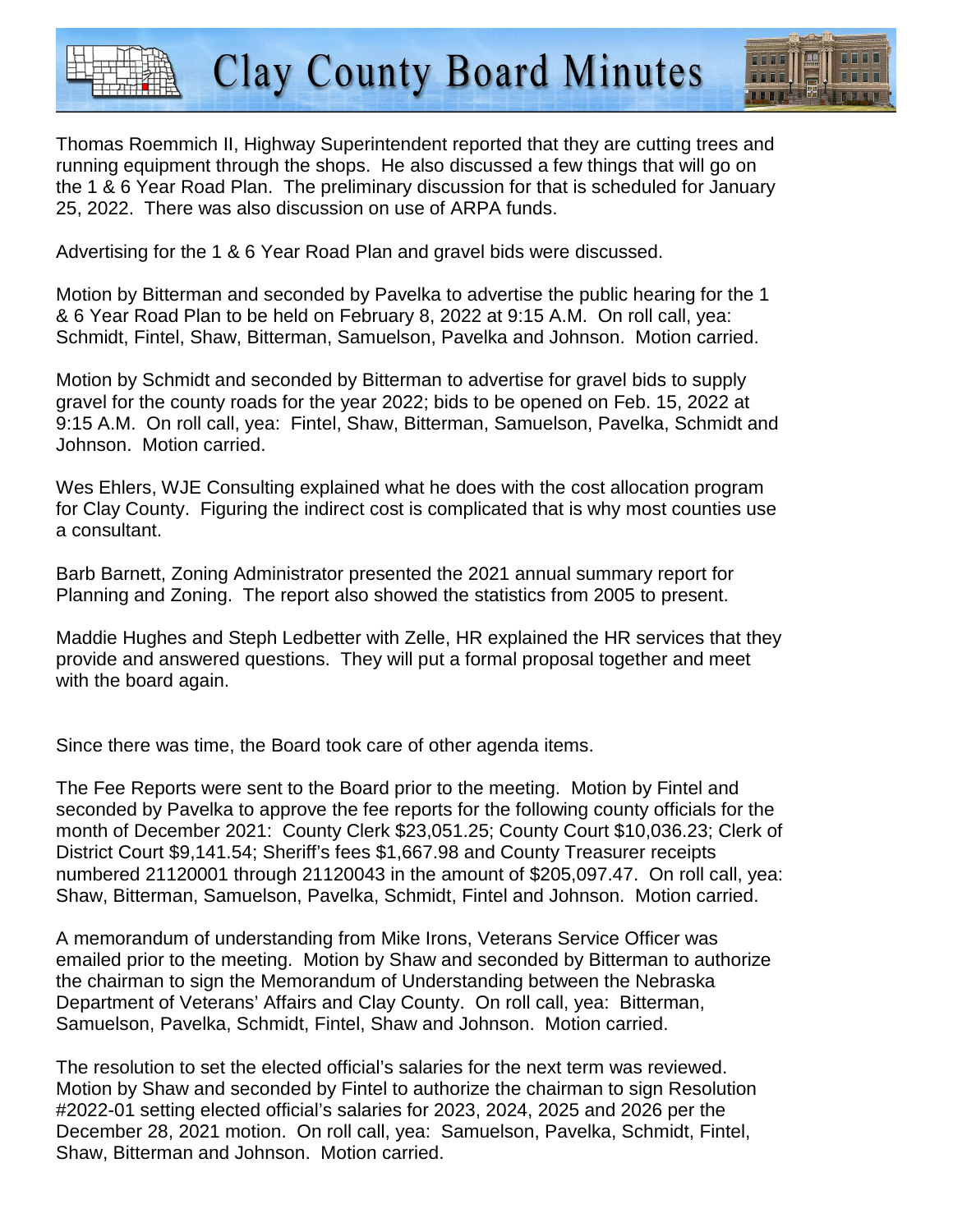Thomas Roemmich II, Highway Superintendent reported that they are cutting trees and running equipment through the shops. He also discussed a few things that will go on the 1 & 6 Year Road Plan. The preliminary discussion for that is scheduled for January 25, 2022. There was also discussion on use of ARPA funds.

**Clay County Board Minutes** 

Advertising for the 1 & 6 Year Road Plan and gravel bids were discussed.

Motion by Bitterman and seconded by Pavelka to advertise the public hearing for the 1 & 6 Year Road Plan to be held on February 8, 2022 at 9:15 A.M. On roll call, yea: Schmidt, Fintel, Shaw, Bitterman, Samuelson, Pavelka and Johnson. Motion carried.

Motion by Schmidt and seconded by Bitterman to advertise for gravel bids to supply gravel for the county roads for the year 2022; bids to be opened on Feb. 15, 2022 at 9:15 A.M. On roll call, yea: Fintel, Shaw, Bitterman, Samuelson, Pavelka, Schmidt and Johnson. Motion carried.

Wes Ehlers, WJE Consulting explained what he does with the cost allocation program for Clay County. Figuring the indirect cost is complicated that is why most counties use a consultant.

Barb Barnett, Zoning Administrator presented the 2021 annual summary report for Planning and Zoning. The report also showed the statistics from 2005 to present.

Maddie Hughes and Steph Ledbetter with Zelle, HR explained the HR services that they provide and answered questions. They will put a formal proposal together and meet with the board again.

Since there was time, the Board took care of other agenda items.

The Fee Reports were sent to the Board prior to the meeting. Motion by Fintel and seconded by Pavelka to approve the fee reports for the following county officials for the month of December 2021: County Clerk \$23,051.25; County Court \$10,036.23; Clerk of District Court \$9,141.54; Sheriff's fees \$1,667.98 and County Treasurer receipts numbered 21120001 through 21120043 in the amount of \$205,097.47. On roll call, yea: Shaw, Bitterman, Samuelson, Pavelka, Schmidt, Fintel and Johnson. Motion carried.

A memorandum of understanding from Mike Irons, Veterans Service Officer was emailed prior to the meeting. Motion by Shaw and seconded by Bitterman to authorize the chairman to sign the Memorandum of Understanding between the Nebraska Department of Veterans' Affairs and Clay County. On roll call, yea: Bitterman, Samuelson, Pavelka, Schmidt, Fintel, Shaw and Johnson. Motion carried.

The resolution to set the elected official's salaries for the next term was reviewed. Motion by Shaw and seconded by Fintel to authorize the chairman to sign Resolution #2022-01 setting elected official's salaries for 2023, 2024, 2025 and 2026 per the December 28, 2021 motion. On roll call, yea: Samuelson, Pavelka, Schmidt, Fintel, Shaw, Bitterman and Johnson. Motion carried.